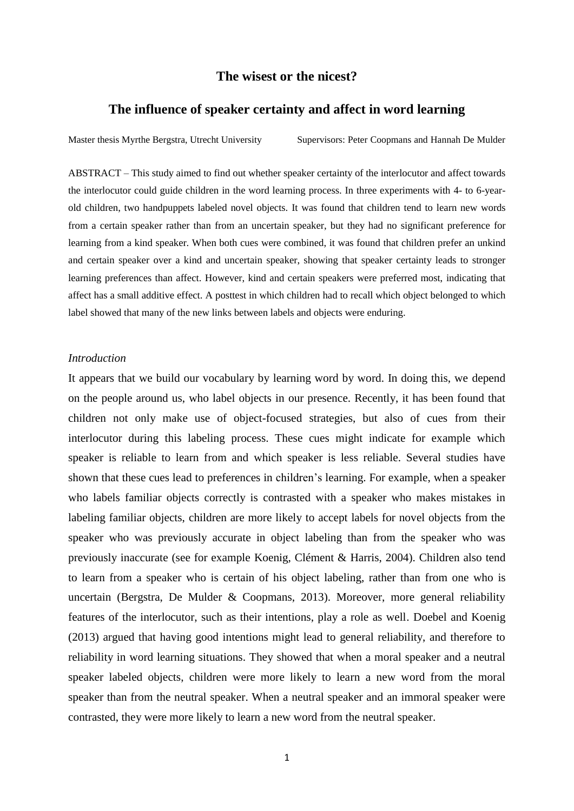# **The wisest or the nicest?**

## **The influence of speaker certainty and affect in word learning**

Master thesis Myrthe Bergstra, Utrecht University Supervisors: Peter Coopmans and Hannah De Mulder

ABSTRACT – This study aimed to find out whether speaker certainty of the interlocutor and affect towards the interlocutor could guide children in the word learning process. In three experiments with 4- to 6-yearold children, two handpuppets labeled novel objects. It was found that children tend to learn new words from a certain speaker rather than from an uncertain speaker, but they had no significant preference for learning from a kind speaker. When both cues were combined, it was found that children prefer an unkind and certain speaker over a kind and uncertain speaker, showing that speaker certainty leads to stronger learning preferences than affect. However, kind and certain speakers were preferred most, indicating that affect has a small additive effect. A posttest in which children had to recall which object belonged to which label showed that many of the new links between labels and objects were enduring.

## *Introduction*

It appears that we build our vocabulary by learning word by word. In doing this, we depend on the people around us, who label objects in our presence. Recently, it has been found that children not only make use of object-focused strategies, but also of cues from their interlocutor during this labeling process. These cues might indicate for example which speaker is reliable to learn from and which speaker is less reliable. Several studies have shown that these cues lead to preferences in children's learning. For example, when a speaker who labels familiar objects correctly is contrasted with a speaker who makes mistakes in labeling familiar objects, children are more likely to accept labels for novel objects from the speaker who was previously accurate in object labeling than from the speaker who was previously inaccurate (see for example Koenig, Clément & Harris, 2004). Children also tend to learn from a speaker who is certain of his object labeling, rather than from one who is uncertain (Bergstra, De Mulder & Coopmans, 2013). Moreover, more general reliability features of the interlocutor, such as their intentions, play a role as well. Doebel and Koenig (2013) argued that having good intentions might lead to general reliability, and therefore to reliability in word learning situations. They showed that when a moral speaker and a neutral speaker labeled objects, children were more likely to learn a new word from the moral speaker than from the neutral speaker. When a neutral speaker and an immoral speaker were contrasted, they were more likely to learn a new word from the neutral speaker.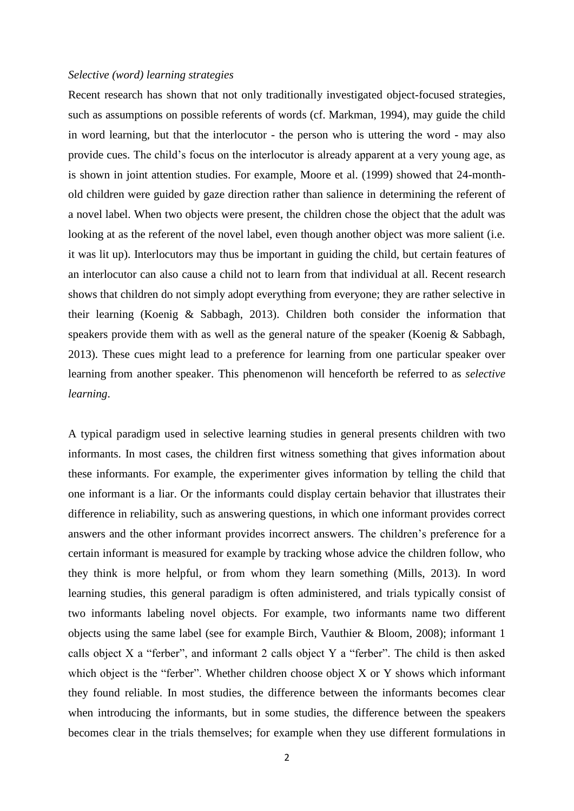#### *Selective (word) learning strategies*

Recent research has shown that not only traditionally investigated object-focused strategies, such as assumptions on possible referents of words (cf. Markman, 1994), may guide the child in word learning, but that the interlocutor - the person who is uttering the word - may also provide cues. The child's focus on the interlocutor is already apparent at a very young age, as is shown in joint attention studies. For example, Moore et al. (1999) showed that 24-monthold children were guided by gaze direction rather than salience in determining the referent of a novel label. When two objects were present, the children chose the object that the adult was looking at as the referent of the novel label, even though another object was more salient (i.e. it was lit up). Interlocutors may thus be important in guiding the child, but certain features of an interlocutor can also cause a child not to learn from that individual at all. Recent research shows that children do not simply adopt everything from everyone; they are rather selective in their learning (Koenig & Sabbagh, 2013). Children both consider the information that speakers provide them with as well as the general nature of the speaker (Koenig & Sabbagh, 2013). These cues might lead to a preference for learning from one particular speaker over learning from another speaker. This phenomenon will henceforth be referred to as *selective learning*.

A typical paradigm used in selective learning studies in general presents children with two informants. In most cases, the children first witness something that gives information about these informants. For example, the experimenter gives information by telling the child that one informant is a liar. Or the informants could display certain behavior that illustrates their difference in reliability, such as answering questions, in which one informant provides correct answers and the other informant provides incorrect answers. The children's preference for a certain informant is measured for example by tracking whose advice the children follow, who they think is more helpful, or from whom they learn something (Mills, 2013). In word learning studies, this general paradigm is often administered, and trials typically consist of two informants labeling novel objects. For example, two informants name two different objects using the same label (see for example Birch, Vauthier & Bloom, 2008); informant 1 calls object X a "ferber", and informant 2 calls object Y a "ferber". The child is then asked which object is the "ferber". Whether children choose object X or Y shows which informant they found reliable. In most studies, the difference between the informants becomes clear when introducing the informants, but in some studies, the difference between the speakers becomes clear in the trials themselves; for example when they use different formulations in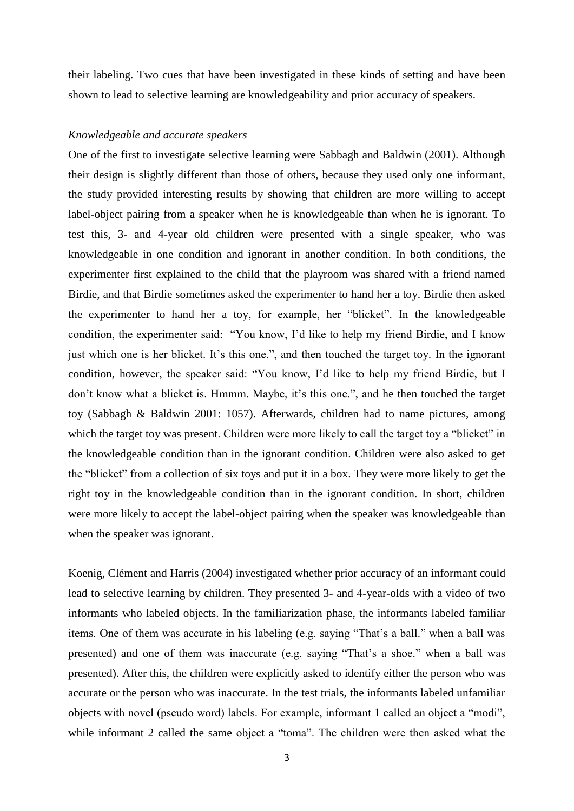their labeling. Two cues that have been investigated in these kinds of setting and have been shown to lead to selective learning are knowledgeability and prior accuracy of speakers.

## *Knowledgeable and accurate speakers*

One of the first to investigate selective learning were Sabbagh and Baldwin (2001). Although their design is slightly different than those of others, because they used only one informant, the study provided interesting results by showing that children are more willing to accept label-object pairing from a speaker when he is knowledgeable than when he is ignorant. To test this, 3- and 4-year old children were presented with a single speaker, who was knowledgeable in one condition and ignorant in another condition. In both conditions, the experimenter first explained to the child that the playroom was shared with a friend named Birdie, and that Birdie sometimes asked the experimenter to hand her a toy. Birdie then asked the experimenter to hand her a toy, for example, her "blicket". In the knowledgeable condition, the experimenter said: "You know, I'd like to help my friend Birdie, and I know just which one is her blicket. It's this one.", and then touched the target toy. In the ignorant condition, however, the speaker said: "You know, I'd like to help my friend Birdie, but I don't know what a blicket is. Hmmm. Maybe, it's this one.", and he then touched the target toy (Sabbagh & Baldwin 2001: 1057). Afterwards, children had to name pictures, among which the target toy was present. Children were more likely to call the target toy a "blicket" in the knowledgeable condition than in the ignorant condition. Children were also asked to get the "blicket" from a collection of six toys and put it in a box. They were more likely to get the right toy in the knowledgeable condition than in the ignorant condition. In short, children were more likely to accept the label-object pairing when the speaker was knowledgeable than when the speaker was ignorant.

Koenig, Clément and Harris (2004) investigated whether prior accuracy of an informant could lead to selective learning by children. They presented 3- and 4-year-olds with a video of two informants who labeled objects. In the familiarization phase, the informants labeled familiar items. One of them was accurate in his labeling (e.g. saying "That's a ball." when a ball was presented) and one of them was inaccurate (e.g. saying "That's a shoe." when a ball was presented). After this, the children were explicitly asked to identify either the person who was accurate or the person who was inaccurate. In the test trials, the informants labeled unfamiliar objects with novel (pseudo word) labels. For example, informant 1 called an object a "modi", while informant 2 called the same object a "toma". The children were then asked what the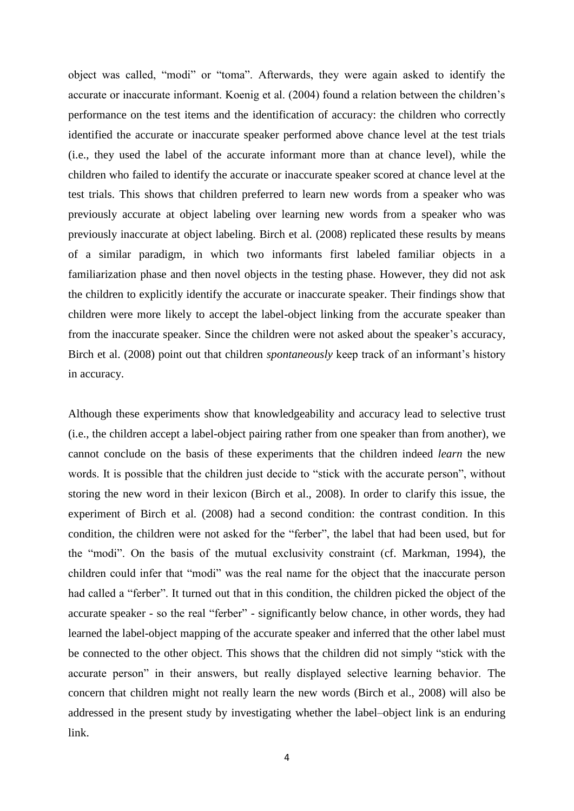object was called, "modi" or "toma". Afterwards, they were again asked to identify the accurate or inaccurate informant. Koenig et al. (2004) found a relation between the children's performance on the test items and the identification of accuracy: the children who correctly identified the accurate or inaccurate speaker performed above chance level at the test trials (i.e., they used the label of the accurate informant more than at chance level), while the children who failed to identify the accurate or inaccurate speaker scored at chance level at the test trials. This shows that children preferred to learn new words from a speaker who was previously accurate at object labeling over learning new words from a speaker who was previously inaccurate at object labeling. Birch et al. (2008) replicated these results by means of a similar paradigm, in which two informants first labeled familiar objects in a familiarization phase and then novel objects in the testing phase. However, they did not ask the children to explicitly identify the accurate or inaccurate speaker. Their findings show that children were more likely to accept the label-object linking from the accurate speaker than from the inaccurate speaker. Since the children were not asked about the speaker's accuracy, Birch et al. (2008) point out that children *spontaneously* keep track of an informant's history in accuracy.

Although these experiments show that knowledgeability and accuracy lead to selective trust (i.e., the children accept a label-object pairing rather from one speaker than from another), we cannot conclude on the basis of these experiments that the children indeed *learn* the new words. It is possible that the children just decide to "stick with the accurate person", without storing the new word in their lexicon (Birch et al., 2008). In order to clarify this issue, the experiment of Birch et al. (2008) had a second condition: the contrast condition. In this condition, the children were not asked for the "ferber", the label that had been used, but for the "modi". On the basis of the mutual exclusivity constraint (cf. Markman, 1994), the children could infer that "modi" was the real name for the object that the inaccurate person had called a "ferber". It turned out that in this condition, the children picked the object of the accurate speaker - so the real "ferber" - significantly below chance, in other words, they had learned the label-object mapping of the accurate speaker and inferred that the other label must be connected to the other object. This shows that the children did not simply "stick with the accurate person" in their answers, but really displayed selective learning behavior. The concern that children might not really learn the new words (Birch et al., 2008) will also be addressed in the present study by investigating whether the label–object link is an enduring link.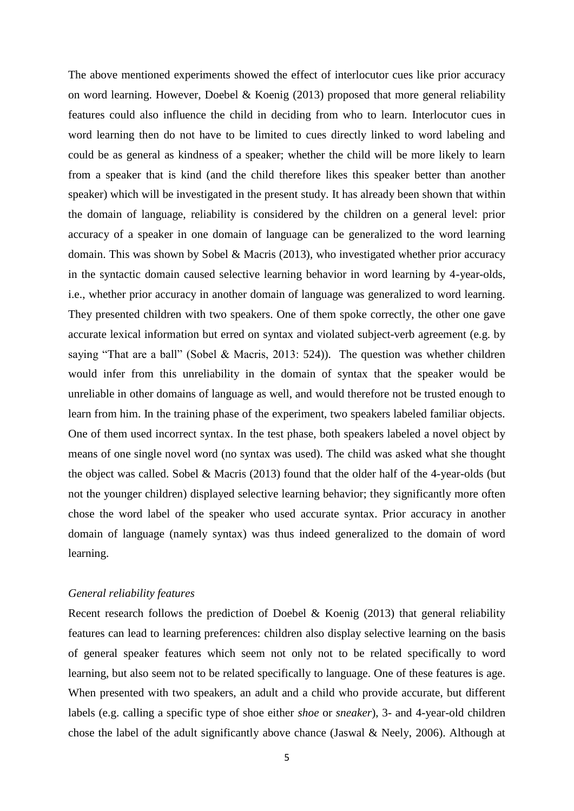The above mentioned experiments showed the effect of interlocutor cues like prior accuracy on word learning. However, Doebel & Koenig (2013) proposed that more general reliability features could also influence the child in deciding from who to learn. Interlocutor cues in word learning then do not have to be limited to cues directly linked to word labeling and could be as general as kindness of a speaker; whether the child will be more likely to learn from a speaker that is kind (and the child therefore likes this speaker better than another speaker) which will be investigated in the present study. It has already been shown that within the domain of language, reliability is considered by the children on a general level: prior accuracy of a speaker in one domain of language can be generalized to the word learning domain. This was shown by Sobel & Macris (2013), who investigated whether prior accuracy in the syntactic domain caused selective learning behavior in word learning by 4-year-olds, i.e., whether prior accuracy in another domain of language was generalized to word learning. They presented children with two speakers. One of them spoke correctly, the other one gave accurate lexical information but erred on syntax and violated subject-verb agreement (e.g. by saying "That are a ball" (Sobel & Macris, 2013: 524)). The question was whether children would infer from this unreliability in the domain of syntax that the speaker would be unreliable in other domains of language as well, and would therefore not be trusted enough to learn from him. In the training phase of the experiment, two speakers labeled familiar objects. One of them used incorrect syntax. In the test phase, both speakers labeled a novel object by means of one single novel word (no syntax was used). The child was asked what she thought the object was called. Sobel & Macris (2013) found that the older half of the 4-year-olds (but not the younger children) displayed selective learning behavior; they significantly more often chose the word label of the speaker who used accurate syntax. Prior accuracy in another domain of language (namely syntax) was thus indeed generalized to the domain of word learning.

### *General reliability features*

Recent research follows the prediction of Doebel & Koenig (2013) that general reliability features can lead to learning preferences: children also display selective learning on the basis of general speaker features which seem not only not to be related specifically to word learning, but also seem not to be related specifically to language. One of these features is age. When presented with two speakers, an adult and a child who provide accurate, but different labels (e.g. calling a specific type of shoe either *shoe* or *sneaker*), 3- and 4-year-old children chose the label of the adult significantly above chance (Jaswal & Neely, 2006). Although at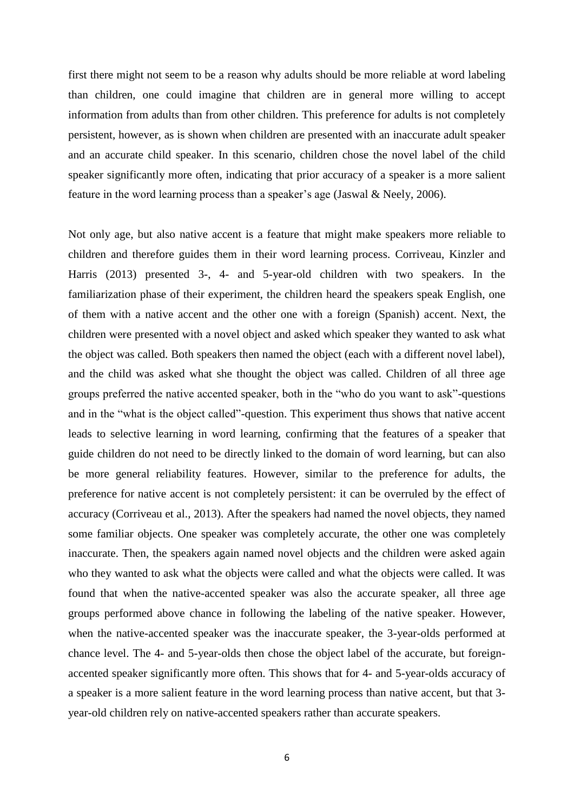first there might not seem to be a reason why adults should be more reliable at word labeling than children, one could imagine that children are in general more willing to accept information from adults than from other children. This preference for adults is not completely persistent, however, as is shown when children are presented with an inaccurate adult speaker and an accurate child speaker. In this scenario, children chose the novel label of the child speaker significantly more often, indicating that prior accuracy of a speaker is a more salient feature in the word learning process than a speaker's age (Jaswal & Neely, 2006).

Not only age, but also native accent is a feature that might make speakers more reliable to children and therefore guides them in their word learning process. Corriveau, Kinzler and Harris (2013) presented 3-, 4- and 5-year-old children with two speakers. In the familiarization phase of their experiment, the children heard the speakers speak English, one of them with a native accent and the other one with a foreign (Spanish) accent. Next, the children were presented with a novel object and asked which speaker they wanted to ask what the object was called. Both speakers then named the object (each with a different novel label), and the child was asked what she thought the object was called. Children of all three age groups preferred the native accented speaker, both in the "who do you want to ask"-questions and in the "what is the object called"-question. This experiment thus shows that native accent leads to selective learning in word learning, confirming that the features of a speaker that guide children do not need to be directly linked to the domain of word learning, but can also be more general reliability features. However, similar to the preference for adults, the preference for native accent is not completely persistent: it can be overruled by the effect of accuracy (Corriveau et al., 2013). After the speakers had named the novel objects, they named some familiar objects. One speaker was completely accurate, the other one was completely inaccurate. Then, the speakers again named novel objects and the children were asked again who they wanted to ask what the objects were called and what the objects were called. It was found that when the native-accented speaker was also the accurate speaker, all three age groups performed above chance in following the labeling of the native speaker. However, when the native-accented speaker was the inaccurate speaker, the 3-year-olds performed at chance level. The 4- and 5-year-olds then chose the object label of the accurate, but foreignaccented speaker significantly more often. This shows that for 4- and 5-year-olds accuracy of a speaker is a more salient feature in the word learning process than native accent, but that 3 year-old children rely on native-accented speakers rather than accurate speakers.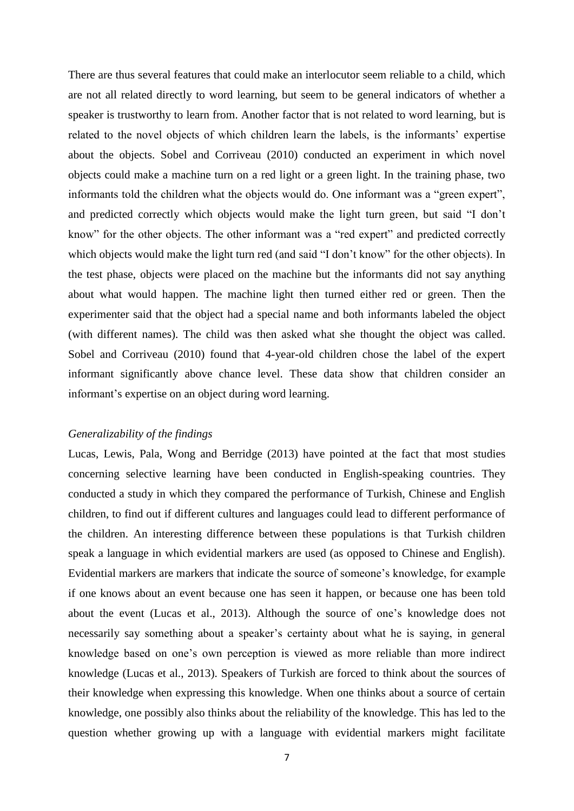There are thus several features that could make an interlocutor seem reliable to a child, which are not all related directly to word learning, but seem to be general indicators of whether a speaker is trustworthy to learn from. Another factor that is not related to word learning, but is related to the novel objects of which children learn the labels, is the informants' expertise about the objects. Sobel and Corriveau (2010) conducted an experiment in which novel objects could make a machine turn on a red light or a green light. In the training phase, two informants told the children what the objects would do. One informant was a "green expert", and predicted correctly which objects would make the light turn green, but said "I don't know" for the other objects. The other informant was a "red expert" and predicted correctly which objects would make the light turn red (and said "I don't know" for the other objects). In the test phase, objects were placed on the machine but the informants did not say anything about what would happen. The machine light then turned either red or green. Then the experimenter said that the object had a special name and both informants labeled the object (with different names). The child was then asked what she thought the object was called. Sobel and Corriveau (2010) found that 4-year-old children chose the label of the expert informant significantly above chance level. These data show that children consider an informant's expertise on an object during word learning.

## *Generalizability of the findings*

Lucas, Lewis, Pala, Wong and Berridge (2013) have pointed at the fact that most studies concerning selective learning have been conducted in English-speaking countries. They conducted a study in which they compared the performance of Turkish, Chinese and English children, to find out if different cultures and languages could lead to different performance of the children. An interesting difference between these populations is that Turkish children speak a language in which evidential markers are used (as opposed to Chinese and English). Evidential markers are markers that indicate the source of someone's knowledge, for example if one knows about an event because one has seen it happen, or because one has been told about the event (Lucas et al., 2013). Although the source of one's knowledge does not necessarily say something about a speaker's certainty about what he is saying, in general knowledge based on one's own perception is viewed as more reliable than more indirect knowledge (Lucas et al., 2013). Speakers of Turkish are forced to think about the sources of their knowledge when expressing this knowledge. When one thinks about a source of certain knowledge, one possibly also thinks about the reliability of the knowledge. This has led to the question whether growing up with a language with evidential markers might facilitate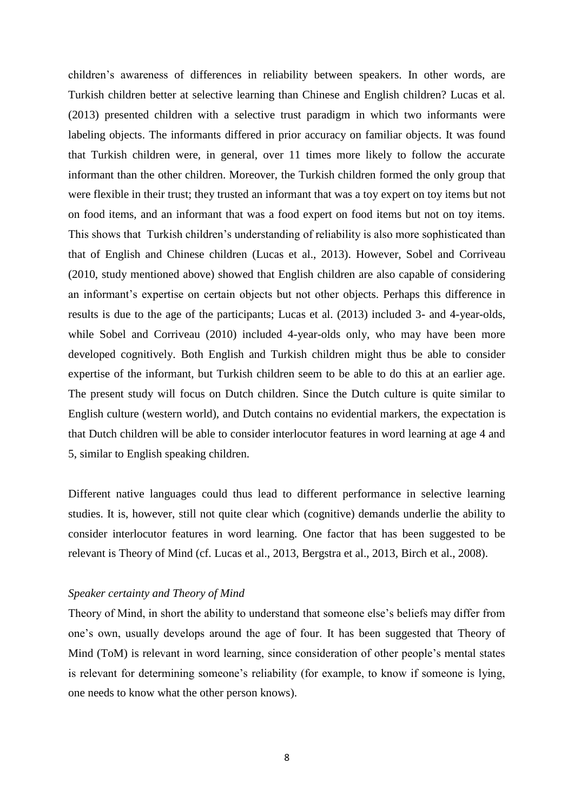children's awareness of differences in reliability between speakers. In other words, are Turkish children better at selective learning than Chinese and English children? Lucas et al. (2013) presented children with a selective trust paradigm in which two informants were labeling objects. The informants differed in prior accuracy on familiar objects. It was found that Turkish children were, in general, over 11 times more likely to follow the accurate informant than the other children. Moreover, the Turkish children formed the only group that were flexible in their trust; they trusted an informant that was a toy expert on toy items but not on food items, and an informant that was a food expert on food items but not on toy items. This shows that Turkish children's understanding of reliability is also more sophisticated than that of English and Chinese children (Lucas et al., 2013). However, Sobel and Corriveau (2010, study mentioned above) showed that English children are also capable of considering an informant's expertise on certain objects but not other objects. Perhaps this difference in results is due to the age of the participants; Lucas et al. (2013) included 3- and 4-year-olds, while Sobel and Corriveau (2010) included 4-year-olds only, who may have been more developed cognitively. Both English and Turkish children might thus be able to consider expertise of the informant, but Turkish children seem to be able to do this at an earlier age. The present study will focus on Dutch children. Since the Dutch culture is quite similar to English culture (western world), and Dutch contains no evidential markers, the expectation is that Dutch children will be able to consider interlocutor features in word learning at age 4 and 5, similar to English speaking children.

Different native languages could thus lead to different performance in selective learning studies. It is, however, still not quite clear which (cognitive) demands underlie the ability to consider interlocutor features in word learning. One factor that has been suggested to be relevant is Theory of Mind (cf. Lucas et al., 2013, Bergstra et al., 2013, Birch et al., 2008).

## *Speaker certainty and Theory of Mind*

Theory of Mind, in short the ability to understand that someone else's beliefs may differ from one's own, usually develops around the age of four. It has been suggested that Theory of Mind (ToM) is relevant in word learning, since consideration of other people's mental states is relevant for determining someone's reliability (for example, to know if someone is lying, one needs to know what the other person knows).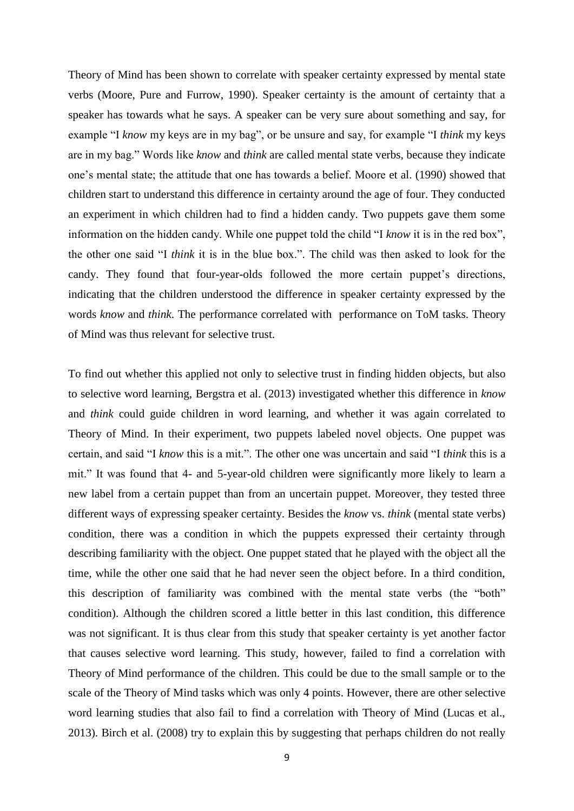Theory of Mind has been shown to correlate with speaker certainty expressed by mental state verbs (Moore, Pure and Furrow, 1990). Speaker certainty is the amount of certainty that a speaker has towards what he says. A speaker can be very sure about something and say, for example "I *know* my keys are in my bag", or be unsure and say, for example "I *think* my keys are in my bag." Words like *know* and *think* are called mental state verbs, because they indicate one's mental state; the attitude that one has towards a belief. Moore et al. (1990) showed that children start to understand this difference in certainty around the age of four. They conducted an experiment in which children had to find a hidden candy. Two puppets gave them some information on the hidden candy. While one puppet told the child "I *know* it is in the red box", the other one said "I *think* it is in the blue box.". The child was then asked to look for the candy. They found that four-year-olds followed the more certain puppet's directions, indicating that the children understood the difference in speaker certainty expressed by the words *know* and *think*. The performance correlated with performance on ToM tasks. Theory of Mind was thus relevant for selective trust.

To find out whether this applied not only to selective trust in finding hidden objects, but also to selective word learning, Bergstra et al. (2013) investigated whether this difference in *know* and *think* could guide children in word learning, and whether it was again correlated to Theory of Mind. In their experiment, two puppets labeled novel objects. One puppet was certain, and said "I *know* this is a mit.". The other one was uncertain and said "I *think* this is a mit." It was found that 4- and 5-year-old children were significantly more likely to learn a new label from a certain puppet than from an uncertain puppet. Moreover, they tested three different ways of expressing speaker certainty. Besides the *know* vs. *think* (mental state verbs) condition, there was a condition in which the puppets expressed their certainty through describing familiarity with the object. One puppet stated that he played with the object all the time, while the other one said that he had never seen the object before. In a third condition, this description of familiarity was combined with the mental state verbs (the "both" condition). Although the children scored a little better in this last condition, this difference was not significant. It is thus clear from this study that speaker certainty is yet another factor that causes selective word learning. This study, however, failed to find a correlation with Theory of Mind performance of the children. This could be due to the small sample or to the scale of the Theory of Mind tasks which was only 4 points. However, there are other selective word learning studies that also fail to find a correlation with Theory of Mind (Lucas et al., 2013). Birch et al. (2008) try to explain this by suggesting that perhaps children do not really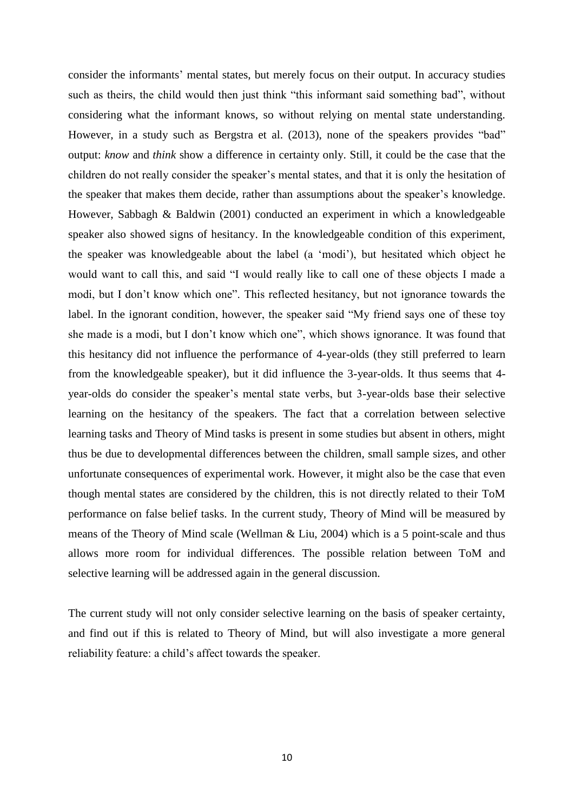consider the informants' mental states, but merely focus on their output. In accuracy studies such as theirs, the child would then just think "this informant said something bad", without considering what the informant knows, so without relying on mental state understanding. However, in a study such as Bergstra et al. (2013), none of the speakers provides "bad" output: *know* and *think* show a difference in certainty only. Still, it could be the case that the children do not really consider the speaker's mental states, and that it is only the hesitation of the speaker that makes them decide, rather than assumptions about the speaker's knowledge. However, Sabbagh & Baldwin (2001) conducted an experiment in which a knowledgeable speaker also showed signs of hesitancy. In the knowledgeable condition of this experiment, the speaker was knowledgeable about the label (a 'modi'), but hesitated which object he would want to call this, and said "I would really like to call one of these objects I made a modi, but I don't know which one". This reflected hesitancy, but not ignorance towards the label. In the ignorant condition, however, the speaker said "My friend says one of these toy she made is a modi, but I don't know which one", which shows ignorance. It was found that this hesitancy did not influence the performance of 4-year-olds (they still preferred to learn from the knowledgeable speaker), but it did influence the 3-year-olds. It thus seems that 4 year-olds do consider the speaker's mental state verbs, but 3-year-olds base their selective learning on the hesitancy of the speakers. The fact that a correlation between selective learning tasks and Theory of Mind tasks is present in some studies but absent in others, might thus be due to developmental differences between the children, small sample sizes, and other unfortunate consequences of experimental work. However, it might also be the case that even though mental states are considered by the children, this is not directly related to their ToM performance on false belief tasks. In the current study, Theory of Mind will be measured by means of the Theory of Mind scale (Wellman & Liu, 2004) which is a 5 point-scale and thus allows more room for individual differences. The possible relation between ToM and selective learning will be addressed again in the general discussion.

The current study will not only consider selective learning on the basis of speaker certainty, and find out if this is related to Theory of Mind, but will also investigate a more general reliability feature: a child's affect towards the speaker.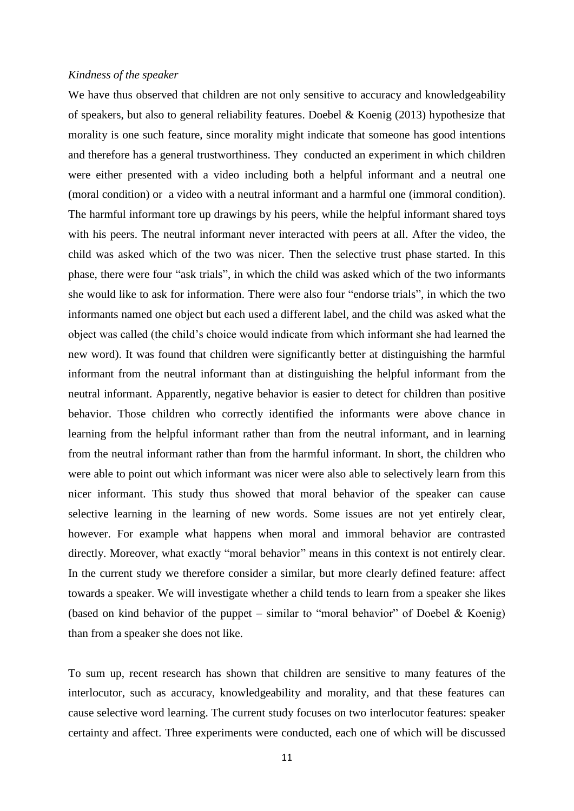#### *Kindness of the speaker*

We have thus observed that children are not only sensitive to accuracy and knowledgeability of speakers, but also to general reliability features. Doebel & Koenig (2013) hypothesize that morality is one such feature, since morality might indicate that someone has good intentions and therefore has a general trustworthiness. They conducted an experiment in which children were either presented with a video including both a helpful informant and a neutral one (moral condition) or a video with a neutral informant and a harmful one (immoral condition). The harmful informant tore up drawings by his peers, while the helpful informant shared toys with his peers. The neutral informant never interacted with peers at all. After the video, the child was asked which of the two was nicer. Then the selective trust phase started. In this phase, there were four "ask trials", in which the child was asked which of the two informants she would like to ask for information. There were also four "endorse trials", in which the two informants named one object but each used a different label, and the child was asked what the object was called (the child's choice would indicate from which informant she had learned the new word). It was found that children were significantly better at distinguishing the harmful informant from the neutral informant than at distinguishing the helpful informant from the neutral informant. Apparently, negative behavior is easier to detect for children than positive behavior. Those children who correctly identified the informants were above chance in learning from the helpful informant rather than from the neutral informant, and in learning from the neutral informant rather than from the harmful informant. In short, the children who were able to point out which informant was nicer were also able to selectively learn from this nicer informant. This study thus showed that moral behavior of the speaker can cause selective learning in the learning of new words. Some issues are not yet entirely clear, however. For example what happens when moral and immoral behavior are contrasted directly. Moreover, what exactly "moral behavior" means in this context is not entirely clear. In the current study we therefore consider a similar, but more clearly defined feature: affect towards a speaker. We will investigate whether a child tends to learn from a speaker she likes (based on kind behavior of the puppet – similar to "moral behavior" of Doebel & Koenig) than from a speaker she does not like.

To sum up, recent research has shown that children are sensitive to many features of the interlocutor, such as accuracy, knowledgeability and morality, and that these features can cause selective word learning. The current study focuses on two interlocutor features: speaker certainty and affect. Three experiments were conducted, each one of which will be discussed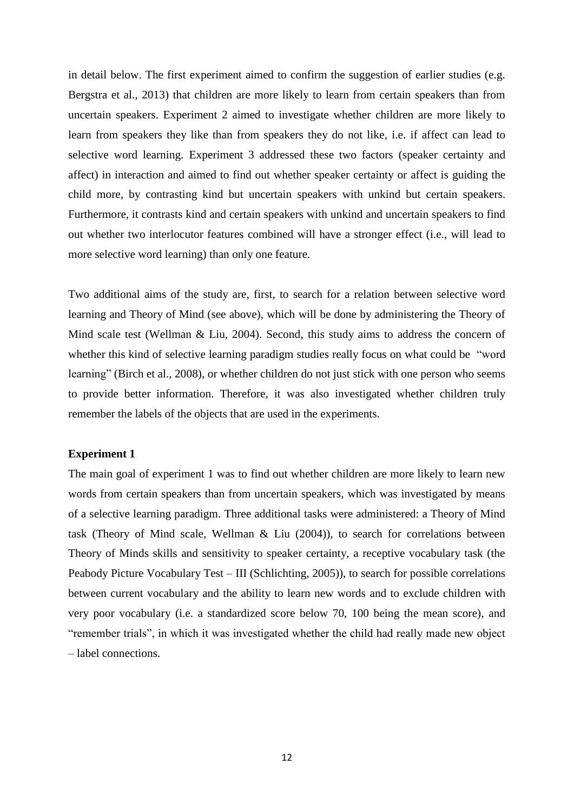in detail below. The first experiment aimed to confirm the suggestion of earlier studies (e.g. Bergstra et al., 2013) that children are more likely to learn from certain speakers than from uncertain speakers. Experiment 2 aimed to investigate whether children are more likely to learn from speakers they like than from speakers they do not like, i.e. if affect can lead to selective word learning. Experiment 3 addressed these two factors (speaker certainty and affect) in interaction and aimed to find out whether speaker certainty or affect is guiding the child more, by contrasting kind but uncertain speakers with unkind but certain speakers. Furthermore, it contrasts kind and certain speakers with unkind and uncertain speakers to find out whether two interlocutor features combined will have a stronger effect (i.e., will lead to more selective word learning) than only one feature.

Two additional aims of the study are, first, to search for a relation between selective word learning and Theory of Mind (see above), which will be done by administering the Theory of Mind scale test (Wellman & Liu, 2004). Second, this study aims to address the concern of whether this kind of selective learning paradigm studies really focus on what could be "word learning" (Birch et al., 2008), or whether children do not just stick with one person who seems to provide better information. Therefore, it was also investigated whether children truly remember the labels of the objects that are used in the experiments.

## **Experiment 1**

The main goal of experiment 1 was to find out whether children are more likely to learn new words from certain speakers than from uncertain speakers, which was investigated by means of a selective learning paradigm. Three additional tasks were administered: a Theory of Mind task (Theory of Mind scale, Wellman & Liu (2004)), to search for correlations between Theory of Minds skills and sensitivity to speaker certainty, a receptive vocabulary task (the Peabody Picture Vocabulary Test – III (Schlichting, 2005)), to search for possible correlations between current vocabulary and the ability to learn new words and to exclude children with very poor vocabulary (i.e. a standardized score below 70, 100 being the mean score), and "remember trials", in which it was investigated whether the child had really made new object – label connections.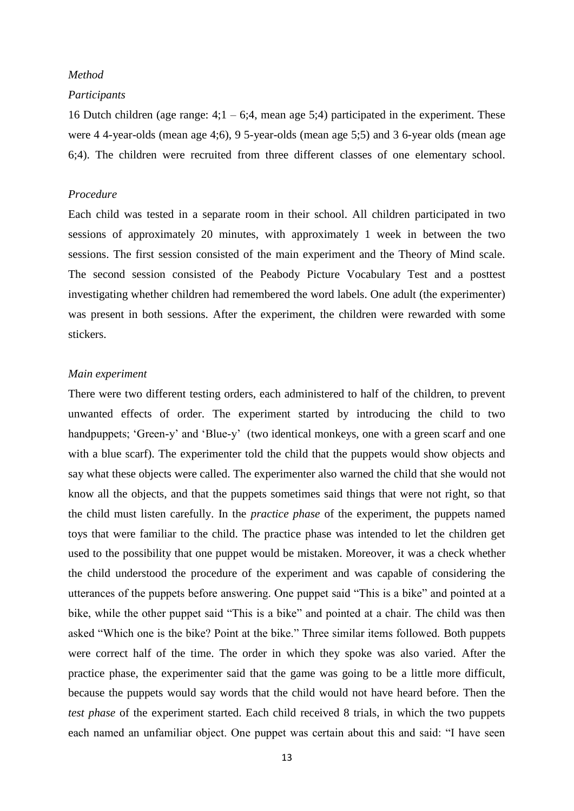## *Method*

#### *Participants*

16 Dutch children (age range:  $4:1 - 6:4$ , mean age 5:4) participated in the experiment. These were 4 4-year-olds (mean age 4;6), 9 5-year-olds (mean age 5;5) and 3 6-year olds (mean age 6;4). The children were recruited from three different classes of one elementary school.

## *Procedure*

Each child was tested in a separate room in their school. All children participated in two sessions of approximately 20 minutes, with approximately 1 week in between the two sessions. The first session consisted of the main experiment and the Theory of Mind scale. The second session consisted of the Peabody Picture Vocabulary Test and a posttest investigating whether children had remembered the word labels. One adult (the experimenter) was present in both sessions. After the experiment, the children were rewarded with some stickers.

## *Main experiment*

There were two different testing orders, each administered to half of the children, to prevent unwanted effects of order. The experiment started by introducing the child to two handpuppets; 'Green-y' and 'Blue-y' (two identical monkeys, one with a green scarf and one with a blue scarf). The experimenter told the child that the puppets would show objects and say what these objects were called. The experimenter also warned the child that she would not know all the objects, and that the puppets sometimes said things that were not right, so that the child must listen carefully. In the *practice phase* of the experiment, the puppets named toys that were familiar to the child. The practice phase was intended to let the children get used to the possibility that one puppet would be mistaken. Moreover, it was a check whether the child understood the procedure of the experiment and was capable of considering the utterances of the puppets before answering. One puppet said "This is a bike" and pointed at a bike, while the other puppet said "This is a bike" and pointed at a chair. The child was then asked "Which one is the bike? Point at the bike." Three similar items followed. Both puppets were correct half of the time. The order in which they spoke was also varied. After the practice phase, the experimenter said that the game was going to be a little more difficult, because the puppets would say words that the child would not have heard before. Then the *test phase* of the experiment started. Each child received 8 trials, in which the two puppets each named an unfamiliar object. One puppet was certain about this and said: "I have seen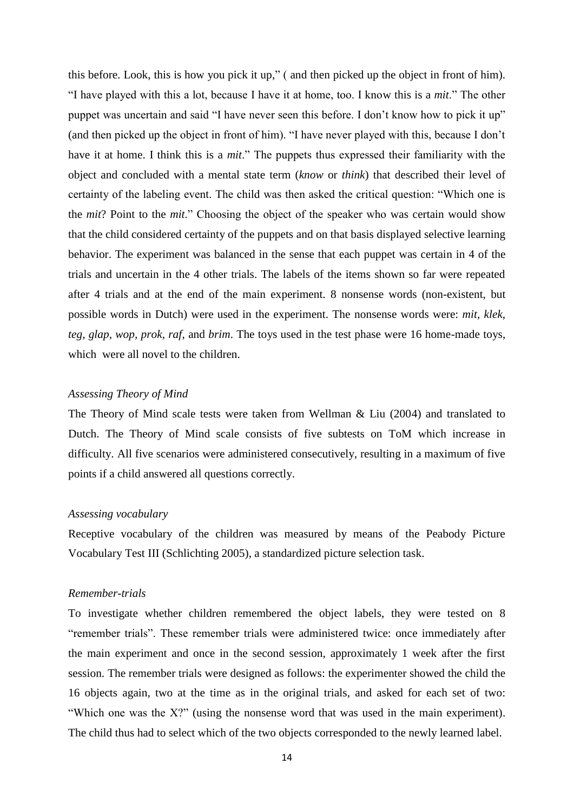this before. Look, this is how you pick it up," ( and then picked up the object in front of him). "I have played with this a lot, because I have it at home, too. I know this is a *mit*." The other puppet was uncertain and said "I have never seen this before. I don't know how to pick it up" (and then picked up the object in front of him). "I have never played with this, because I don't have it at home. I think this is a *mit*." The puppets thus expressed their familiarity with the object and concluded with a mental state term (*know* or *think*) that described their level of certainty of the labeling event. The child was then asked the critical question: "Which one is the *mit*? Point to the *mit*." Choosing the object of the speaker who was certain would show that the child considered certainty of the puppets and on that basis displayed selective learning behavior. The experiment was balanced in the sense that each puppet was certain in 4 of the trials and uncertain in the 4 other trials. The labels of the items shown so far were repeated after 4 trials and at the end of the main experiment. 8 nonsense words (non-existent, but possible words in Dutch) were used in the experiment. The nonsense words were: *mit, klek, teg, glap, wop, prok, raf*, and *brim*. The toys used in the test phase were 16 home-made toys, which were all novel to the children.

## *Assessing Theory of Mind*

The Theory of Mind scale tests were taken from Wellman & Liu (2004) and translated to Dutch. The Theory of Mind scale consists of five subtests on ToM which increase in difficulty. All five scenarios were administered consecutively, resulting in a maximum of five points if a child answered all questions correctly.

### *Assessing vocabulary*

Receptive vocabulary of the children was measured by means of the Peabody Picture Vocabulary Test III (Schlichting 2005), a standardized picture selection task.

## *Remember-trials*

To investigate whether children remembered the object labels, they were tested on 8 "remember trials". These remember trials were administered twice: once immediately after the main experiment and once in the second session, approximately 1 week after the first session. The remember trials were designed as follows: the experimenter showed the child the 16 objects again, two at the time as in the original trials, and asked for each set of two: "Which one was the X?" (using the nonsense word that was used in the main experiment). The child thus had to select which of the two objects corresponded to the newly learned label.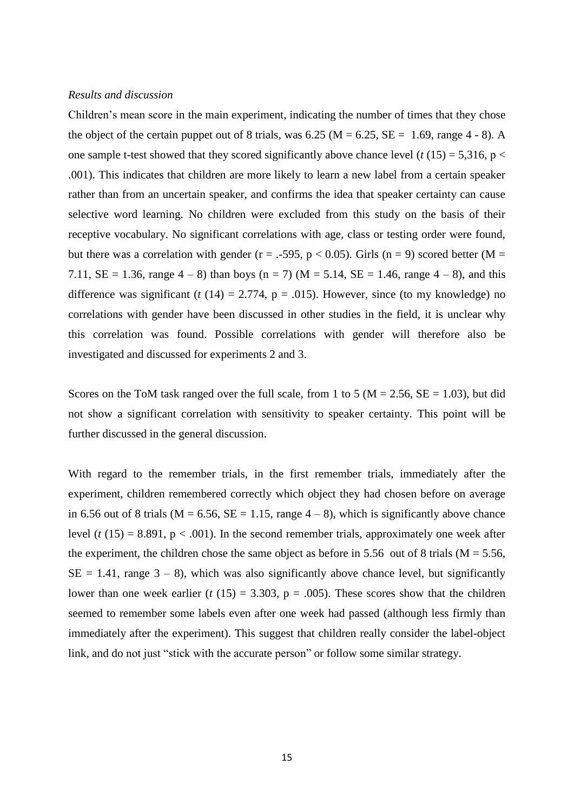### *Results and discussion*

Children's mean score in the main experiment, indicating the number of times that they chose the object of the certain puppet out of 8 trials, was  $6.25$  (M =  $6.25$ , SE = 1.69, range 4 - 8). A one sample t-test showed that they scored significantly above chance level ( $t(15) = 5,316$ ,  $p <$ .001). This indicates that children are more likely to learn a new label from a certain speaker rather than from an uncertain speaker, and confirms the idea that speaker certainty can cause selective word learning. No children were excluded from this study on the basis of their receptive vocabulary. No significant correlations with age, class or testing order were found, but there was a correlation with gender ( $r = -.595$ ,  $p < 0.05$ ). Girls ( $n = 9$ ) scored better ( $M =$ 7.11,  $SE = 1.36$ , range  $4 - 8$ ) than boys (n = 7) (M = 5.14,  $SE = 1.46$ , range  $4 - 8$ ), and this difference was significant ( $t(14) = 2.774$ ,  $p = .015$ ). However, since (to my knowledge) no correlations with gender have been discussed in other studies in the field, it is unclear why this correlation was found. Possible correlations with gender will therefore also be investigated and discussed for experiments 2 and 3.

Scores on the ToM task ranged over the full scale, from 1 to 5 ( $M = 2.56$ ,  $SE = 1.03$ ), but did not show a significant correlation with sensitivity to speaker certainty. This point will be further discussed in the general discussion.

With regard to the remember trials, in the first remember trials, immediately after the experiment, children remembered correctly which object they had chosen before on average in 6.56 out of 8 trials ( $M = 6.56$ ,  $SE = 1.15$ , range  $4 - 8$ ), which is significantly above chance level ( $t(15) = 8.891$ ,  $p < .001$ ). In the second remember trials, approximately one week after the experiment, the children chose the same object as before in 5.56 out of 8 trials ( $M = 5.56$ ,  $SE = 1.41$ , range  $3 - 8$ ), which was also significantly above chance level, but significantly lower than one week earlier ( $t(15) = 3.303$ ,  $p = .005$ ). These scores show that the children seemed to remember some labels even after one week had passed (although less firmly than immediately after the experiment). This suggest that children really consider the label-object link, and do not just "stick with the accurate person" or follow some similar strategy.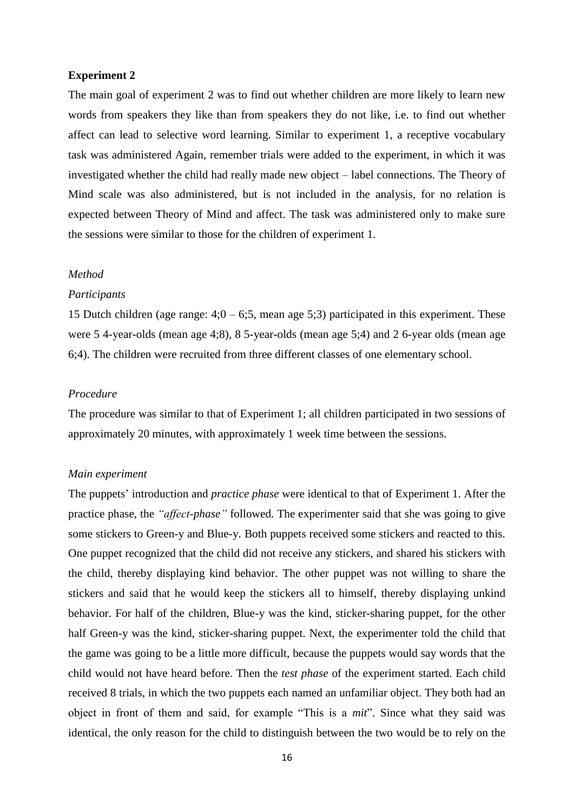### **Experiment 2**

The main goal of experiment 2 was to find out whether children are more likely to learn new words from speakers they like than from speakers they do not like, i.e. to find out whether affect can lead to selective word learning. Similar to experiment 1, a receptive vocabulary task was administered Again, remember trials were added to the experiment, in which it was investigated whether the child had really made new object – label connections. The Theory of Mind scale was also administered, but is not included in the analysis, for no relation is expected between Theory of Mind and affect. The task was administered only to make sure the sessions were similar to those for the children of experiment 1.

### *Method*

#### *Participants*

15 Dutch children (age range:  $4;0 - 6;5$ , mean age 5;3) participated in this experiment. These were 5 4-year-olds (mean age 4;8), 8 5-year-olds (mean age 5;4) and 2 6-year olds (mean age 6;4). The children were recruited from three different classes of one elementary school.

### *Procedure*

The procedure was similar to that of Experiment 1; all children participated in two sessions of approximately 20 minutes, with approximately 1 week time between the sessions.

### *Main experiment*

The puppets' introduction and *practice phase* were identical to that of Experiment 1. After the practice phase, the *"affect-phase"* followed. The experimenter said that she was going to give some stickers to Green-y and Blue-y. Both puppets received some stickers and reacted to this. One puppet recognized that the child did not receive any stickers, and shared his stickers with the child, thereby displaying kind behavior. The other puppet was not willing to share the stickers and said that he would keep the stickers all to himself, thereby displaying unkind behavior. For half of the children, Blue-y was the kind, sticker-sharing puppet, for the other half Green-y was the kind, sticker-sharing puppet. Next, the experimenter told the child that the game was going to be a little more difficult, because the puppets would say words that the child would not have heard before. Then the *test phase* of the experiment started. Each child received 8 trials, in which the two puppets each named an unfamiliar object. They both had an object in front of them and said, for example "This is a *mit*". Since what they said was identical, the only reason for the child to distinguish between the two would be to rely on the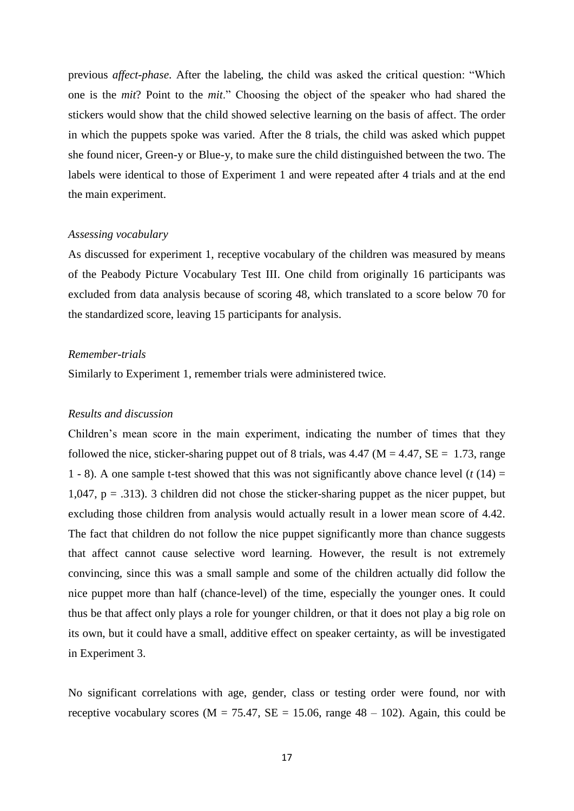previous *affect-phase*. After the labeling, the child was asked the critical question: "Which one is the *mit*? Point to the *mit*." Choosing the object of the speaker who had shared the stickers would show that the child showed selective learning on the basis of affect. The order in which the puppets spoke was varied. After the 8 trials, the child was asked which puppet she found nicer, Green-y or Blue-y, to make sure the child distinguished between the two. The labels were identical to those of Experiment 1 and were repeated after 4 trials and at the end the main experiment.

#### *Assessing vocabulary*

As discussed for experiment 1, receptive vocabulary of the children was measured by means of the Peabody Picture Vocabulary Test III. One child from originally 16 participants was excluded from data analysis because of scoring 48, which translated to a score below 70 for the standardized score, leaving 15 participants for analysis.

### *Remember-trials*

Similarly to Experiment 1, remember trials were administered twice.

### *Results and discussion*

Children's mean score in the main experiment, indicating the number of times that they followed the nice, sticker-sharing puppet out of 8 trials, was  $4.47 \text{ (M } = 4.47, \text{ SE } = 1.73, \text{ range }$ 1 - 8). A one sample t-test showed that this was not significantly above chance level  $(t(14) =$  $1,047$ ,  $p = .313$ ). 3 children did not chose the sticker-sharing puppet as the nicer puppet, but excluding those children from analysis would actually result in a lower mean score of 4.42. The fact that children do not follow the nice puppet significantly more than chance suggests that affect cannot cause selective word learning. However, the result is not extremely convincing, since this was a small sample and some of the children actually did follow the nice puppet more than half (chance-level) of the time, especially the younger ones. It could thus be that affect only plays a role for younger children, or that it does not play a big role on its own, but it could have a small, additive effect on speaker certainty, as will be investigated in Experiment 3.

No significant correlations with age, gender, class or testing order were found, nor with receptive vocabulary scores ( $M = 75.47$ ,  $SE = 15.06$ , range  $48 - 102$ ). Again, this could be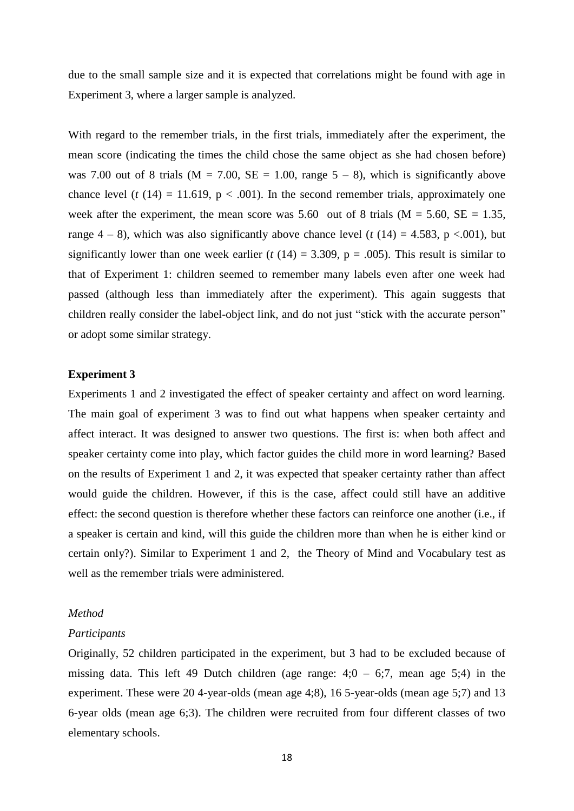due to the small sample size and it is expected that correlations might be found with age in Experiment 3, where a larger sample is analyzed.

With regard to the remember trials, in the first trials, immediately after the experiment, the mean score (indicating the times the child chose the same object as she had chosen before) was 7.00 out of 8 trials ( $M = 7.00$ ,  $SE = 1.00$ , range  $5 - 8$ ), which is significantly above chance level ( $t$  (14) = 11.619,  $p < .001$ ). In the second remember trials, approximately one week after the experiment, the mean score was 5.60 out of 8 trials ( $M = 5.60$ ,  $SE = 1.35$ , range  $4 - 8$ ), which was also significantly above chance level (*t* (14) = 4.583, p <.001), but significantly lower than one week earlier ( $t(14) = 3.309$ ,  $p = .005$ ). This result is similar to that of Experiment 1: children seemed to remember many labels even after one week had passed (although less than immediately after the experiment). This again suggests that children really consider the label-object link, and do not just "stick with the accurate person" or adopt some similar strategy.

### **Experiment 3**

Experiments 1 and 2 investigated the effect of speaker certainty and affect on word learning. The main goal of experiment 3 was to find out what happens when speaker certainty and affect interact. It was designed to answer two questions. The first is: when both affect and speaker certainty come into play, which factor guides the child more in word learning? Based on the results of Experiment 1 and 2, it was expected that speaker certainty rather than affect would guide the children. However, if this is the case, affect could still have an additive effect: the second question is therefore whether these factors can reinforce one another (i.e., if a speaker is certain and kind, will this guide the children more than when he is either kind or certain only?). Similar to Experiment 1 and 2, the Theory of Mind and Vocabulary test as well as the remember trials were administered.

#### *Method*

#### *Participants*

Originally, 52 children participated in the experiment, but 3 had to be excluded because of missing data. This left 49 Dutch children (age range:  $4:0 - 6:7$ , mean age  $5:4$ ) in the experiment. These were 20 4-year-olds (mean age 4;8), 16 5-year-olds (mean age 5;7) and 13 6-year olds (mean age 6;3). The children were recruited from four different classes of two elementary schools.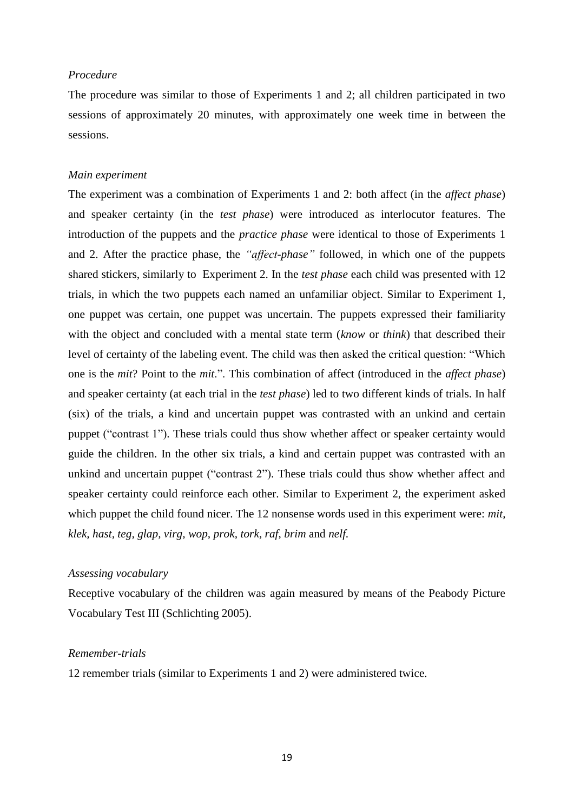## *Procedure*

The procedure was similar to those of Experiments 1 and 2; all children participated in two sessions of approximately 20 minutes, with approximately one week time in between the sessions.

## *Main experiment*

The experiment was a combination of Experiments 1 and 2: both affect (in the *affect phase*) and speaker certainty (in the *test phase*) were introduced as interlocutor features. The introduction of the puppets and the *practice phase* were identical to those of Experiments 1 and 2. After the practice phase, the *"affect-phase"* followed, in which one of the puppets shared stickers, similarly to Experiment 2. In the *test phase* each child was presented with 12 trials, in which the two puppets each named an unfamiliar object. Similar to Experiment 1, one puppet was certain, one puppet was uncertain. The puppets expressed their familiarity with the object and concluded with a mental state term (*know* or *think*) that described their level of certainty of the labeling event. The child was then asked the critical question: "Which one is the *mit*? Point to the *mit*.". This combination of affect (introduced in the *affect phase*) and speaker certainty (at each trial in the *test phase*) led to two different kinds of trials. In half (six) of the trials, a kind and uncertain puppet was contrasted with an unkind and certain puppet ("contrast 1"). These trials could thus show whether affect or speaker certainty would guide the children. In the other six trials, a kind and certain puppet was contrasted with an unkind and uncertain puppet ("contrast 2"). These trials could thus show whether affect and speaker certainty could reinforce each other. Similar to Experiment 2, the experiment asked which puppet the child found nicer. The 12 nonsense words used in this experiment were: *mit, klek, hast, teg, glap, virg, wop, prok, tork, raf*, *brim* and *nelf.*

## *Assessing vocabulary*

Receptive vocabulary of the children was again measured by means of the Peabody Picture Vocabulary Test III (Schlichting 2005).

## *Remember-trials*

12 remember trials (similar to Experiments 1 and 2) were administered twice.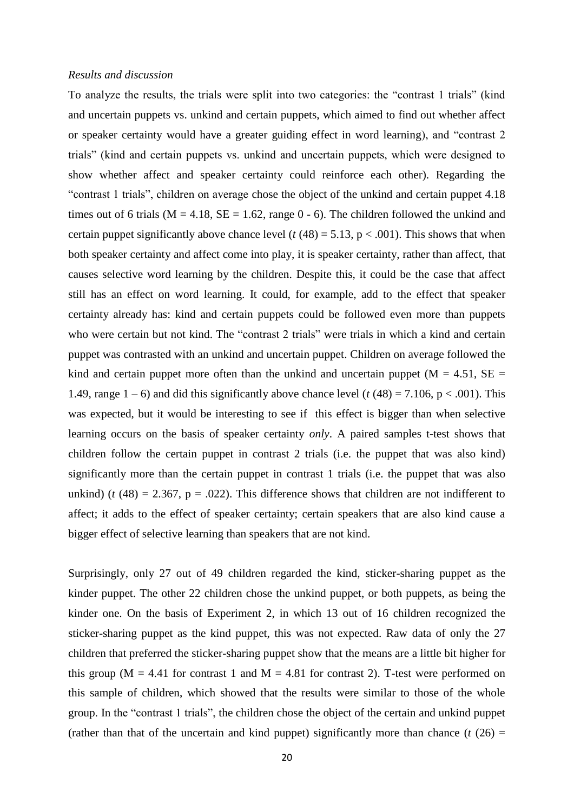### *Results and discussion*

To analyze the results, the trials were split into two categories: the "contrast 1 trials" (kind and uncertain puppets vs. unkind and certain puppets, which aimed to find out whether affect or speaker certainty would have a greater guiding effect in word learning), and "contrast 2 trials" (kind and certain puppets vs. unkind and uncertain puppets, which were designed to show whether affect and speaker certainty could reinforce each other). Regarding the "contrast 1 trials", children on average chose the object of the unkind and certain puppet 4.18 times out of 6 trials ( $M = 4.18$ ,  $SE = 1.62$ , range 0 - 6). The children followed the unkind and certain puppet significantly above chance level  $(t (48) = 5.13, p < .001)$ . This shows that when both speaker certainty and affect come into play, it is speaker certainty, rather than affect, that causes selective word learning by the children. Despite this, it could be the case that affect still has an effect on word learning. It could, for example, add to the effect that speaker certainty already has: kind and certain puppets could be followed even more than puppets who were certain but not kind. The "contrast 2 trials" were trials in which a kind and certain puppet was contrasted with an unkind and uncertain puppet. Children on average followed the kind and certain puppet more often than the unkind and uncertain puppet ( $M = 4.51$ ,  $SE =$ 1.49, range  $1-6$ ) and did this significantly above chance level ( $t(48) = 7.106$ ,  $p < .001$ ). This was expected, but it would be interesting to see if this effect is bigger than when selective learning occurs on the basis of speaker certainty *only*. A paired samples t-test shows that children follow the certain puppet in contrast 2 trials (i.e. the puppet that was also kind) significantly more than the certain puppet in contrast 1 trials (i.e. the puppet that was also unkind) ( $t$  (48) = 2.367,  $p = .022$ ). This difference shows that children are not indifferent to affect; it adds to the effect of speaker certainty; certain speakers that are also kind cause a bigger effect of selective learning than speakers that are not kind.

Surprisingly, only 27 out of 49 children regarded the kind, sticker-sharing puppet as the kinder puppet. The other 22 children chose the unkind puppet, or both puppets, as being the kinder one. On the basis of Experiment 2, in which 13 out of 16 children recognized the sticker-sharing puppet as the kind puppet, this was not expected. Raw data of only the 27 children that preferred the sticker-sharing puppet show that the means are a little bit higher for this group ( $M = 4.41$  for contrast 1 and  $M = 4.81$  for contrast 2). T-test were performed on this sample of children, which showed that the results were similar to those of the whole group. In the "contrast 1 trials", the children chose the object of the certain and unkind puppet (rather than that of the uncertain and kind puppet) significantly more than chance  $(t (26) =$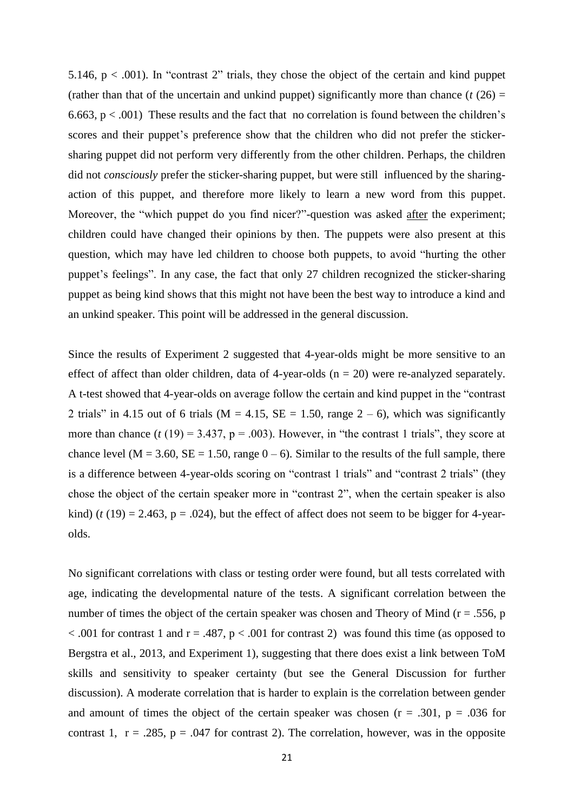5.146,  $p < .001$ ). In "contrast 2" trials, they chose the object of the certain and kind puppet (rather than that of the uncertain and unkind puppet) significantly more than chance  $(t (26) =$ 6.663,  $p < .001$ ) These results and the fact that no correlation is found between the children's scores and their puppet's preference show that the children who did not prefer the stickersharing puppet did not perform very differently from the other children. Perhaps, the children did not *consciously* prefer the sticker-sharing puppet, but were still influenced by the sharingaction of this puppet, and therefore more likely to learn a new word from this puppet. Moreover, the "which puppet do you find nicer?"-question was asked after the experiment; children could have changed their opinions by then. The puppets were also present at this question, which may have led children to choose both puppets, to avoid "hurting the other puppet's feelings". In any case, the fact that only 27 children recognized the sticker-sharing puppet as being kind shows that this might not have been the best way to introduce a kind and an unkind speaker. This point will be addressed in the general discussion.

Since the results of Experiment 2 suggested that 4-year-olds might be more sensitive to an effect of affect than older children, data of 4-year-olds  $(n = 20)$  were re-analyzed separately. A t-test showed that 4-year-olds on average follow the certain and kind puppet in the "contrast 2 trials" in 4.15 out of 6 trials ( $M = 4.15$ ,  $SE = 1.50$ , range  $2 - 6$ ), which was significantly more than chance  $(t(19) = 3.437, p = .003)$ . However, in "the contrast 1 trials", they score at chance level ( $M = 3.60$ ,  $SE = 1.50$ , range  $0 - 6$ ). Similar to the results of the full sample, there is a difference between 4-year-olds scoring on "contrast 1 trials" and "contrast 2 trials" (they chose the object of the certain speaker more in "contrast 2", when the certain speaker is also kind) ( $t(19) = 2.463$ ,  $p = .024$ ), but the effect of affect does not seem to be bigger for 4-yearolds.

No significant correlations with class or testing order were found, but all tests correlated with age, indicating the developmental nature of the tests. A significant correlation between the number of times the object of the certain speaker was chosen and Theory of Mind ( $r = .556$ , p  $< .001$  for contrast 1 and r = .487, p  $< .001$  for contrast 2) was found this time (as opposed to Bergstra et al., 2013, and Experiment 1), suggesting that there does exist a link between ToM skills and sensitivity to speaker certainty (but see the General Discussion for further discussion). A moderate correlation that is harder to explain is the correlation between gender and amount of times the object of the certain speaker was chosen  $(r = .301, p = .036$  for contrast 1,  $r = .285$ ,  $p = .047$  for contrast 2). The correlation, however, was in the opposite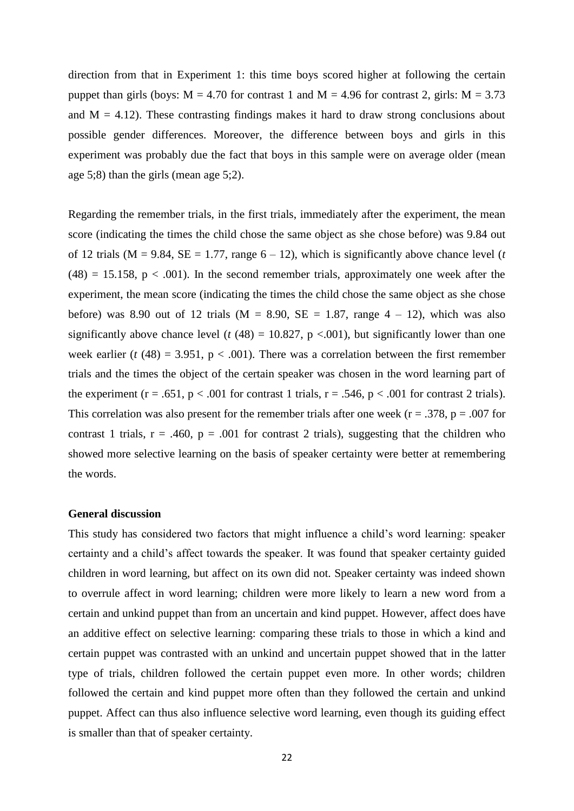direction from that in Experiment 1: this time boys scored higher at following the certain puppet than girls (boys:  $M = 4.70$  for contrast 1 and  $M = 4.96$  for contrast 2, girls:  $M = 3.73$ and  $M = 4.12$ ). These contrasting findings makes it hard to draw strong conclusions about possible gender differences. Moreover, the difference between boys and girls in this experiment was probably due the fact that boys in this sample were on average older (mean age 5;8) than the girls (mean age 5;2).

Regarding the remember trials, in the first trials, immediately after the experiment, the mean score (indicating the times the child chose the same object as she chose before) was 9.84 out of 12 trials ( $M = 9.84$ ,  $SE = 1.77$ , range  $6 - 12$ ), which is significantly above chance level (*t*)  $(48) = 15.158$ ,  $p < .001$ ). In the second remember trials, approximately one week after the experiment, the mean score (indicating the times the child chose the same object as she chose before) was 8.90 out of 12 trials ( $M = 8.90$ ,  $SE = 1.87$ , range  $4 - 12$ ), which was also significantly above chance level ( $t$  (48) = 10.827,  $p$  <.001), but significantly lower than one week earlier ( $t$  (48) = 3.951,  $p < .001$ ). There was a correlation between the first remember trials and the times the object of the certain speaker was chosen in the word learning part of the experiment ( $r = .651$ ,  $p < .001$  for contrast 1 trials,  $r = .546$ ,  $p < .001$  for contrast 2 trials). This correlation was also present for the remember trials after one week ( $r = .378$ ,  $p = .007$  for contrast 1 trials,  $r = .460$ ,  $p = .001$  for contrast 2 trials), suggesting that the children who showed more selective learning on the basis of speaker certainty were better at remembering the words.

### **General discussion**

This study has considered two factors that might influence a child's word learning: speaker certainty and a child's affect towards the speaker. It was found that speaker certainty guided children in word learning, but affect on its own did not. Speaker certainty was indeed shown to overrule affect in word learning; children were more likely to learn a new word from a certain and unkind puppet than from an uncertain and kind puppet. However, affect does have an additive effect on selective learning: comparing these trials to those in which a kind and certain puppet was contrasted with an unkind and uncertain puppet showed that in the latter type of trials, children followed the certain puppet even more. In other words; children followed the certain and kind puppet more often than they followed the certain and unkind puppet. Affect can thus also influence selective word learning, even though its guiding effect is smaller than that of speaker certainty.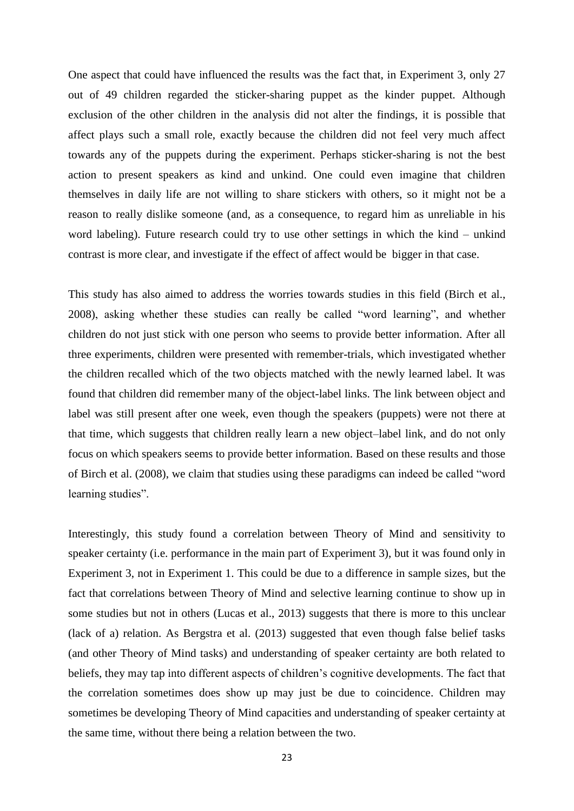One aspect that could have influenced the results was the fact that, in Experiment 3, only 27 out of 49 children regarded the sticker-sharing puppet as the kinder puppet. Although exclusion of the other children in the analysis did not alter the findings, it is possible that affect plays such a small role, exactly because the children did not feel very much affect towards any of the puppets during the experiment. Perhaps sticker-sharing is not the best action to present speakers as kind and unkind. One could even imagine that children themselves in daily life are not willing to share stickers with others, so it might not be a reason to really dislike someone (and, as a consequence, to regard him as unreliable in his word labeling). Future research could try to use other settings in which the kind – unkind contrast is more clear, and investigate if the effect of affect would be bigger in that case.

This study has also aimed to address the worries towards studies in this field (Birch et al., 2008), asking whether these studies can really be called "word learning", and whether children do not just stick with one person who seems to provide better information. After all three experiments, children were presented with remember-trials, which investigated whether the children recalled which of the two objects matched with the newly learned label. It was found that children did remember many of the object-label links. The link between object and label was still present after one week, even though the speakers (puppets) were not there at that time, which suggests that children really learn a new object–label link, and do not only focus on which speakers seems to provide better information. Based on these results and those of Birch et al. (2008), we claim that studies using these paradigms can indeed be called "word learning studies".

Interestingly, this study found a correlation between Theory of Mind and sensitivity to speaker certainty (i.e. performance in the main part of Experiment 3), but it was found only in Experiment 3, not in Experiment 1. This could be due to a difference in sample sizes, but the fact that correlations between Theory of Mind and selective learning continue to show up in some studies but not in others (Lucas et al., 2013) suggests that there is more to this unclear (lack of a) relation. As Bergstra et al. (2013) suggested that even though false belief tasks (and other Theory of Mind tasks) and understanding of speaker certainty are both related to beliefs, they may tap into different aspects of children's cognitive developments. The fact that the correlation sometimes does show up may just be due to coincidence. Children may sometimes be developing Theory of Mind capacities and understanding of speaker certainty at the same time, without there being a relation between the two.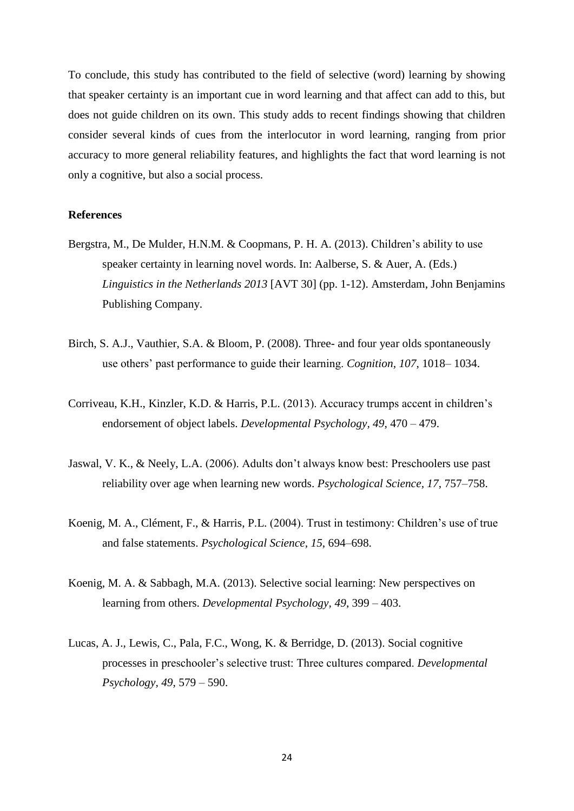To conclude, this study has contributed to the field of selective (word) learning by showing that speaker certainty is an important cue in word learning and that affect can add to this, but does not guide children on its own. This study adds to recent findings showing that children consider several kinds of cues from the interlocutor in word learning, ranging from prior accuracy to more general reliability features, and highlights the fact that word learning is not only a cognitive, but also a social process.

#### **References**

- Bergstra, M., De Mulder, H.N.M. & Coopmans, P. H. A. (2013). Children's ability to use speaker certainty in learning novel words. In: Aalberse, S. & Auer, A. (Eds.) *Linguistics in the Netherlands 2013* [AVT 30] (pp. 1-12). Amsterdam, John Benjamins Publishing Company.
- Birch, S. A.J., Vauthier, S.A. & Bloom, P. (2008). Three- and four year olds spontaneously use others' past performance to guide their learning. *Cognition, 107*, 1018– 1034.
- Corriveau, K.H., Kinzler, K.D. & Harris, P.L. (2013). Accuracy trumps accent in children's endorsement of object labels. *Developmental Psychology, 49*, 470 – 479.
- Jaswal, V. K., & Neely, L.A. (2006). Adults don't always know best: Preschoolers use past reliability over age when learning new words. *Psychological Science, 17*, 757–758.
- Koenig, M. A., Clément, F., & Harris, P.L. (2004). Trust in testimony: Children's use of true and false statements. *Psychological Science, 15*, 694–698.
- Koenig, M. A. & Sabbagh, M.A. (2013). Selective social learning: New perspectives on learning from others. *Developmental Psychology, 49*, 399 – 403.
- Lucas, A. J., Lewis, C., Pala, F.C., Wong, K. & Berridge, D. (2013). Social cognitive processes in preschooler's selective trust: Three cultures compared. *Developmental Psychology, 49*, 579 – 590.